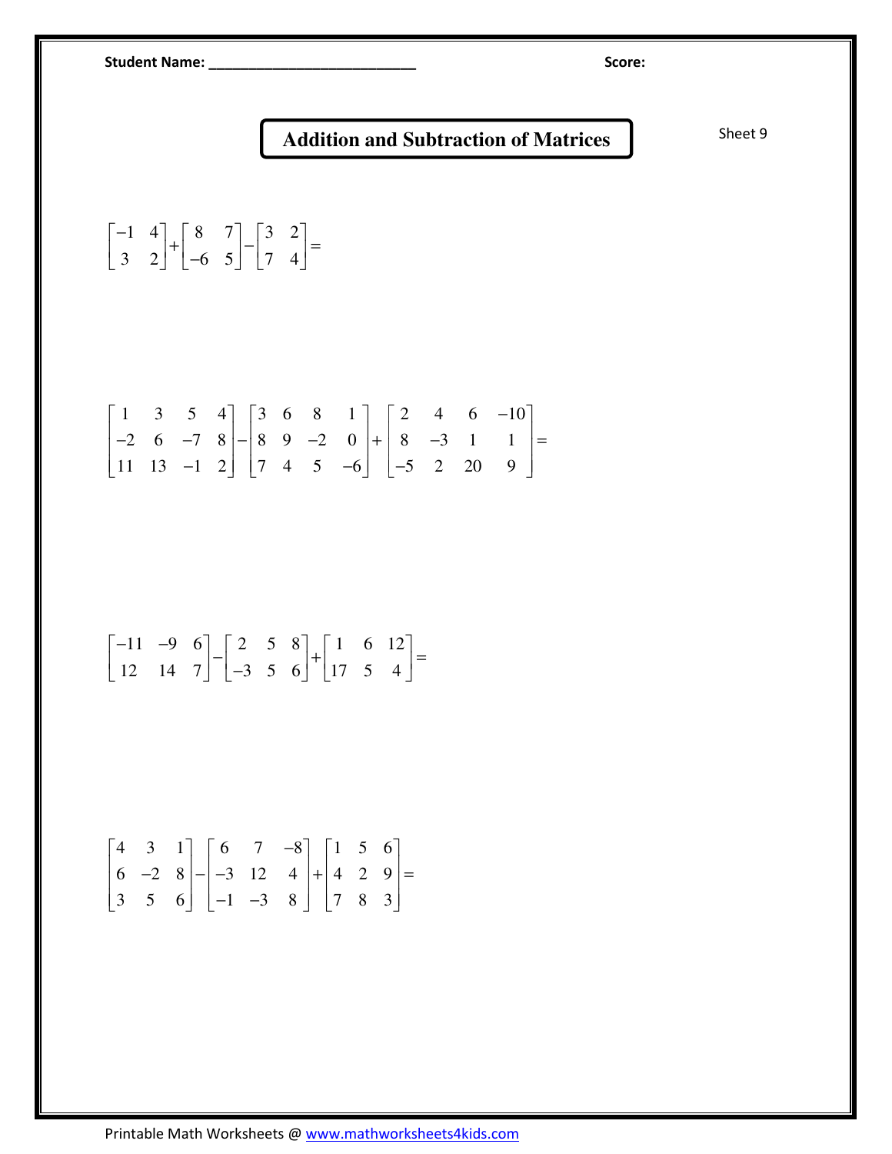## Student Name: \_\_\_\_\_\_\_\_\_\_\_\_\_\_\_\_\_\_\_\_\_\_\_\_\_\_ Score:

## Addition and Subtraction of Matrices **Sheet 9** Sheet 9

$$
\begin{bmatrix} -1 & 4 \\ 3 & 2 \end{bmatrix} + \begin{bmatrix} 8 & 7 \\ -6 & 5 \end{bmatrix} - \begin{bmatrix} 3 & 2 \\ 7 & 4 \end{bmatrix} =
$$

$$
\begin{bmatrix} 1 & 3 & 5 & 4 \ -2 & 6 & -7 & 8 \ 11 & 13 & -1 & 2 \ \end{bmatrix} - \begin{bmatrix} 3 & 6 & 8 & 1 \ 8 & 9 & -2 & 0 \ 7 & 4 & 5 & -6 \ \end{bmatrix} + \begin{bmatrix} 2 & 4 & 6 & -10 \ 8 & -3 & 1 & 1 \ -5 & 2 & 20 & 9 \ \end{bmatrix} =
$$

$$
\begin{bmatrix} -11 & -9 & 6 \ 12 & 14 & 7 \end{bmatrix} - \begin{bmatrix} 2 & 5 & 8 \ -3 & 5 & 6 \end{bmatrix} + \begin{bmatrix} 1 & 6 & 12 \ 17 & 5 & 4 \end{bmatrix} =
$$

$$
\begin{bmatrix} 4 & 3 & 1 \ 6 & -2 & 8 \ 3 & 5 & 6 \end{bmatrix} - \begin{bmatrix} 6 & 7 & -8 \ -3 & 12 & 4 \ -1 & -3 & 8 \end{bmatrix} + \begin{bmatrix} 1 & 5 & 6 \ 4 & 2 & 9 \ 7 & 8 & 3 \end{bmatrix} =
$$